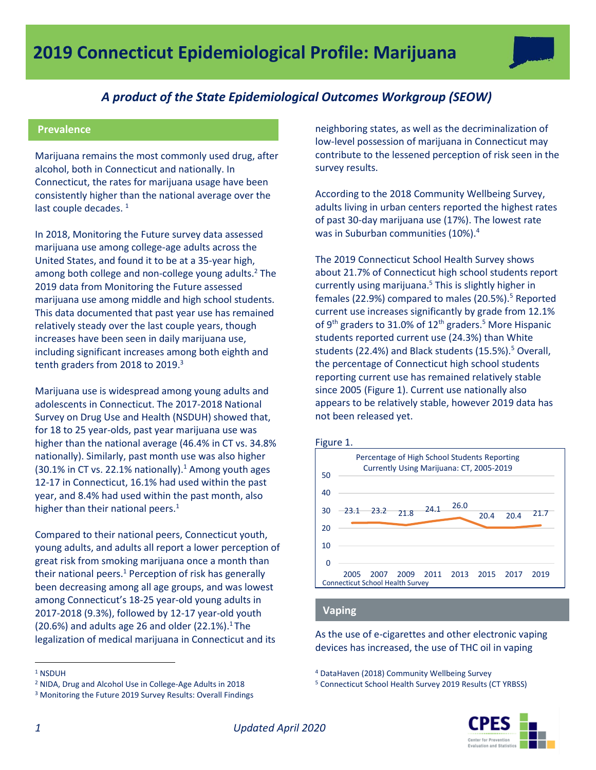

# *A product of the State Epidemiological Outcomes Workgroup (SEOW)*

## **Prevalence**

Marijuana remains the most commonly used drug, after alcohol, both in Connecticut and nationally. In Connecticut, the rates for marijuana usage have been consistently higher than the national average over the last couple decades.  $1$ 

In 2018, Monitoring the Future survey data assessed marijuana use among college-age adults across the United States, and found it to be at a 35-year high, among both college and non-college young adults.<sup>2</sup> The 2019 data from Monitoring the Future assessed marijuana use among middle and high school students. This data documented that past year use has remained relatively steady over the last couple years, though increases have been seen in daily marijuana use, including significant increases among both eighth and tenth graders from 2018 to 2019.<sup>3</sup>

Marijuana use is widespread among young adults and adolescents in Connecticut. The 2017-2018 National Survey on Drug Use and Health (NSDUH) showed that, for 18 to 25 year-olds, past year marijuana use was higher than the national average (46.4% in CT vs. 34.8% nationally). Similarly, past month use was also higher (30.1% in CT vs. 22.1% nationally). <sup>1</sup> Among youth ages 12-17 in Connecticut, 16.1% had used within the past year, and 8.4% had used within the past month, also higher than their national peers. $<sup>1</sup>$ </sup>

Compared to their national peers, Connecticut youth, young adults, and adults all report a lower perception of great risk from smoking marijuana once a month than their national peers.<sup>1</sup> Perception of risk has generally been decreasing among all age groups, and was lowest among Connecticut's 18-25 year-old young adults in 2017-2018 (9.3%), followed by 12-17 year-old youth (20.6%) and adults age 26 and older (22.1%).<sup>1</sup> The legalization of medical marijuana in Connecticut and its

neighboring states, as well as the decriminalization of low-level possession of marijuana in Connecticut may contribute to the lessened perception of risk seen in the survey results.

According to the 2018 Community Wellbeing Survey, adults living in urban centers reported the highest rates of past 30-day marijuana use (17%). The lowest rate was in Suburban communities (10%).<sup>4</sup>

The 2019 Connecticut School Health Survey shows about 21.7% of Connecticut high school students report currently using marijuana.<sup>5</sup> This is slightly higher in females (22.9%) compared to males (20.5%).<sup>5</sup> Reported current use increases significantly by grade from 12.1% of 9<sup>th</sup> graders to 31.0% of 12<sup>th</sup> graders.<sup>5</sup> More Hispanic students reported current use (24.3%) than White students (22.4%) and Black students (15.5%). $5$  Overall, the percentage of Connecticut high school students reporting current use has remained relatively stable since 2005 (Figure 1). Current use nationally also appears to be relatively stable, however 2019 data has not been released yet.



### **Vaping**

As the use of e-cigarettes and other electronic vaping devices has increased, the use of THC oil in vaping

<sup>5</sup> Connecticut School Health Survey 2019 Results (CT YRBSS)



 $\overline{a}$ 

<sup>1</sup> NSDUH

<sup>2</sup> NIDA, Drug and Alcohol Use in College-Age Adults in 2018

<sup>3</sup> Monitoring the Future 2019 Survey Results: Overall Findings

<sup>4</sup> DataHaven (2018) Community Wellbeing Survey